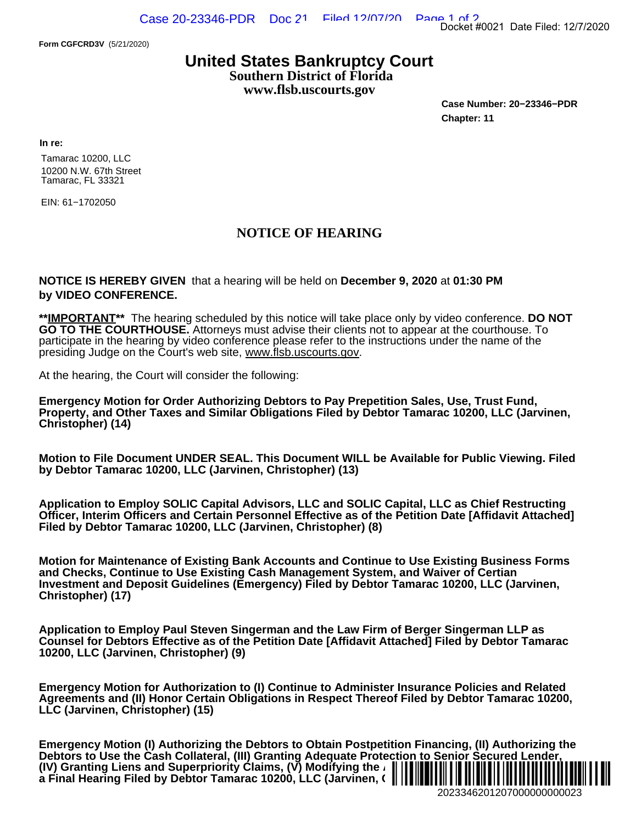**Form CGFCRD3V** (5/21/2020)

## **United States Bankruptcy Court Southern District of Florida**

**www.flsb.uscourts.gov**

**Case Number: 20−23346−PDR Chapter: 11**

**In re:**

Tamarac 10200, LLC 10200 N.W. 67th Street Tamarac, FL 33321

EIN: 61−1702050

## **NOTICE OF HEARING**

**NOTICE IS HEREBY GIVEN** that a hearing will be held on **December 9, 2020** at **01:30 PM by VIDEO CONFERENCE.**

**\*\*IMPORTANT\*\*** The hearing scheduled by this notice will take place only by video conference. **DO NOT GO TO THE COURTHOUSE.** Attorneys must advise their clients not to appear at the courthouse. To participate in the hearing by video conference please refer to the instructions under the name of the presiding Judge on the Court's web site, [www.flsb.uscourts.gov](https://www.flsb.uscourts.gov/judges/judge-peter-russin).

At the hearing, the Court will consider the following:

**Emergency Motion for Order Authorizing Debtors to Pay Prepetition Sales, Use, Trust Fund, Property, and Other Taxes and Similar Obligations Filed by Debtor Tamarac 10200, LLC (Jarvinen, Christopher) (14)**

**Motion to File Document UNDER SEAL. This Document WILL be Available for Public Viewing. Filed by Debtor Tamarac 10200, LLC (Jarvinen, Christopher) (13)**

**Application to Employ SOLIC Capital Advisors, LLC and SOLIC Capital, LLC as Chief Restructing Officer, Interim Officers and Certain Personnel Effective as of the Petition Date [Affidavit Attached] Filed by Debtor Tamarac 10200, LLC (Jarvinen, Christopher) (8)**

**Motion for Maintenance of Existing Bank Accounts and Continue to Use Existing Business Forms and Checks, Continue to Use Existing Cash Management System, and Waiver of Certian Investment and Deposit Guidelines (Emergency) Filed by Debtor Tamarac 10200, LLC (Jarvinen, Christopher) (17)**

**Application to Employ Paul Steven Singerman and the Law Firm of Berger Singerman LLP as Counsel for Debtors Effective as of the Petition Date [Affidavit Attached] Filed by Debtor Tamarac 10200, LLC (Jarvinen, Christopher) (9)**

**Emergency Motion for Authorization to (I) Continue to Administer Insurance Policies and Related Agreements and (II) Honor Certain Obligations in Respect Thereof Filed by Debtor Tamarac 10200, LLC (Jarvinen, Christopher) (15)**

**Emergency Motion (I) Authorizing the Debtors to Obtain Postpetition Financing, (II) Authorizing the Debtors to Use the Cash Collateral, (III) Granting Adequate Protection to Senior Secured Lender, (IV) Granting Liens and Superpriority Claims, (V) Modifying the Automatic Stay, and (VI) Scheduling** ¨2¤"AN4,' 7A« **a Final Hearing Filed by Debtor Tamarac 10200, LLC (Jarvinen, ()** Docket #0021 Date Filed: 12/7/2020<br>
Case Number: 20–23346–PDR<br>
Chapter: 11<br>
at 01:30 PM<br>
video conference. DO NOT<br>
at the courthouse. To<br>
at the courthouse. To<br>
5.<br>
5. Use, Trust Fund,<br>
ac 10200, LLC (Jarvinen,<br>
for Public